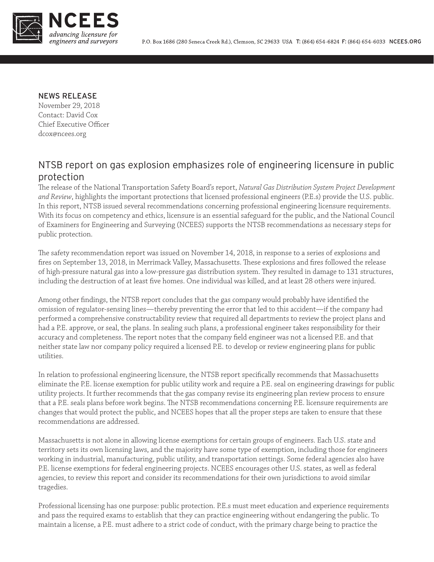

## NEWS RELEASE

November 29, 2018 Contact: David Cox Chief Executive Officer dcox@ncees.org

## NTSB report on gas explosion emphasizes role of engineering licensure in public protection

The release of the National Transportation Safety Board's report, *Natural Gas Distribution System Project Development and Review*, highlights the important protections that licensed professional engineers (P.E.s) provide the U.S. public. In this report, NTSB issued several recommendations concerning professional engineering licensure requirements. With its focus on competency and ethics, licensure is an essential safeguard for the public, and the National Council of Examiners for Engineering and Surveying (NCEES) supports the NTSB recommendations as necessary steps for public protection.

The safety recommendation report was issued on November 14, 2018, in response to a series of explosions and fires on September 13, 2018, in Merrimack Valley, Massachusetts. These explosions and fires followed the release of high-pressure natural gas into a low-pressure gas distribution system. They resulted in damage to 131 structures, including the destruction of at least five homes. One individual was killed, and at least 28 others were injured.

Among other findings, the NTSB report concludes that the gas company would probably have identified the omission of regulator-sensing lines—thereby preventing the error that led to this accident—if the company had performed a comprehensive constructability review that required all departments to review the project plans and had a P.E. approve, or seal, the plans. In sealing such plans, a professional engineer takes responsibility for their accuracy and completeness. The report notes that the company field engineer was not a licensed P.E. and that neither state law nor company policy required a licensed P.E. to develop or review engineering plans for public utilities.

In relation to professional engineering licensure, the NTSB report specifically recommends that Massachusetts eliminate the P.E. license exemption for public utility work and require a P.E. seal on engineering drawings for public utility projects. It further recommends that the gas company revise its engineering plan review process to ensure that a P.E. seals plans before work begins. The NTSB recommendations concerning P.E. licensure requirements are changes that would protect the public, and NCEES hopes that all the proper steps are taken to ensure that these recommendations are addressed.

Massachusetts is not alone in allowing license exemptions for certain groups of engineers. Each U.S. state and territory sets its own licensing laws, and the majority have some type of exemption, including those for engineers working in industrial, manufacturing, public utility, and transportation settings. Some federal agencies also have P.E. license exemptions for federal engineering projects. NCEES encourages other U.S. states, as well as federal agencies, to review this report and consider its recommendations for their own jurisdictions to avoid similar tragedies.

Professional licensing has one purpose: public protection. P.E.s must meet education and experience requirements and pass the required exams to establish that they can practice engineering without endangering the public. To maintain a license, a P.E. must adhere to a strict code of conduct, with the primary charge being to practice the